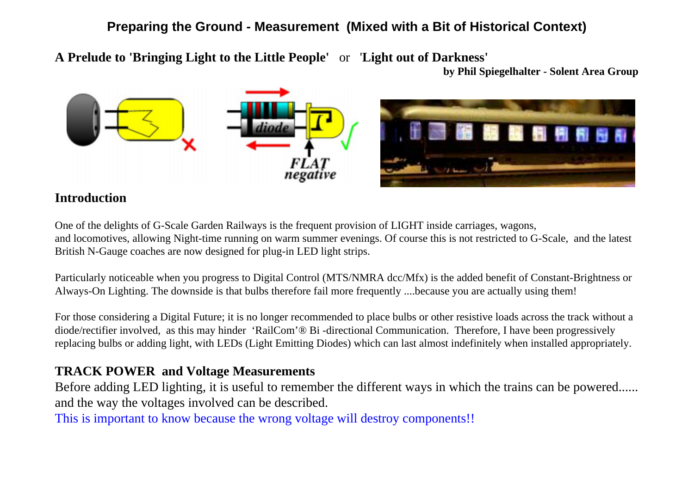# **Preparing the Ground - Measurement (Mixed with a Bit of Historical Context)**

**A Prelude to 'Bringing Light to the Little People'** or '**Light out of Darkness'**

**by Phil Spiegelhalter - Solent Area Group**



### **Introduction**

One of the delights of G-Scale Garden Railways is the frequent provision of LIGHT inside carriages, wagons, and locomotives, allowing Night-time running on warm summer evenings. Of course this is not restricted to G-Scale, and the latest British N-Gauge coaches are now designed for plug-in LED light strips.

Particularly noticeable when you progress to Digital Control (MTS/NMRA dcc/Mfx) is the added benefit of Constant-Brightness or Always-On Lighting. The downside is that bulbs therefore fail more frequently ....because you are actually using them!

For those considering a Digital Future; it is no longer recommended to place bulbs or other resistive loads across the track without a diode/rectifier involved, as this may hinder 'RailCom'® Bi-directional Communication. Therefore, I have been progressively replacing bulbs or adding light, with LEDs (Light Emitting Diodes) which can last almost indefinitely when installed appropriately.

# **TRACK POWER and Voltage Measurements**

Before adding LED lighting, it is useful to remember the different ways in which the trains can be powered...... and the way the voltages involved can be described.

This is important to know because the wrong voltage will destroy components!!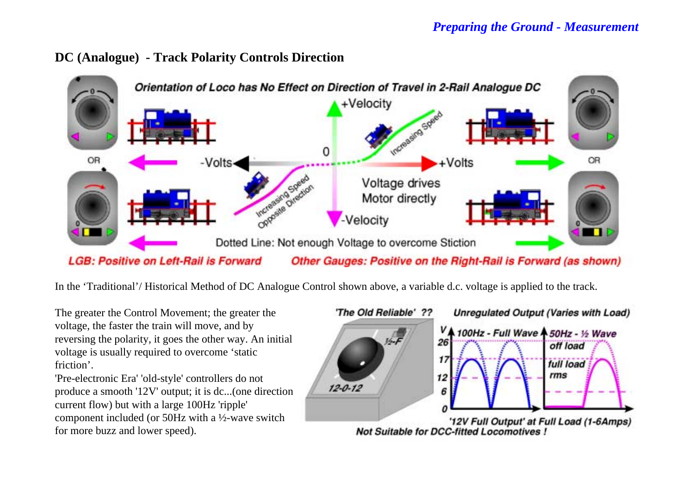



In the 'Traditional'/ Historical Method of DC Analogue Control shown above, a variable d.c. voltage is applied to the track.

The greater the Control Movement; the greater the voltage, the faster the train will move, and by reversing the polarity, it goes the other way. An initial voltage is usually required to overcome 'static friction'.

'Pre-electronic Era' 'old-style' controllers do not produce a smooth '12V' output; it is dc...(one direction current flow) but with a large 100Hz 'ripple' component included (or 50Hz with a ½-wave switch for more buzz and lower speed).

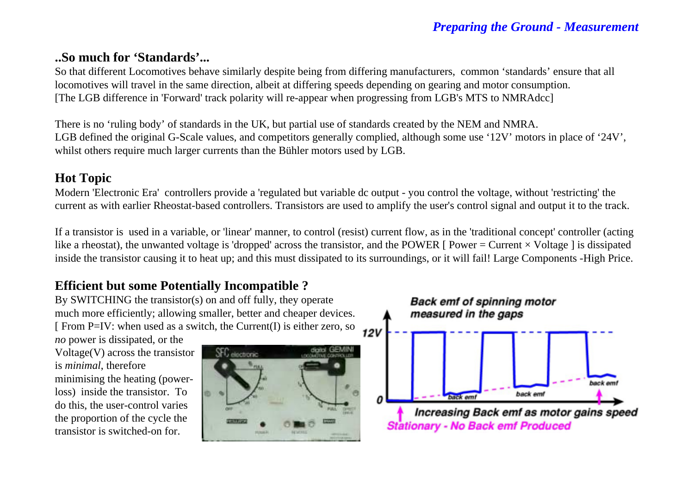### **..So much for 'Standards'...**

So that different Locomotives behave similarly despite being from differing manufacturers, common 'standards' ensure that all locomotives will travel in the same direction, albeit at differing speeds depending on gearing and motor consumption. [The LGB difference in 'Forward' track polarity will re-appear when progressing from LGB's MTS to NMRAdcc]

There is no 'ruling body' of standards in the UK, but partial use of standards created by the NEM and NMRA. LGB defined the original G-Scale values, and competitors generally complied, although some use '12V' motors in place of '24V', whilst others require much larger currents than the Bühler motors used by LGB.

### **Hot Topic**

Modern 'Electronic Era' controllers provide a 'regulated but variable dc output - you control the voltage, without 'restricting' the current as with earlier Rheostat-based controllers. Transistors are used to amplify the user's control signal and output it to the track.

If a transistor is used in a variable, or 'linear' manner, to control (resist) current flow, as in the 'traditional concept' controller (acting like a rheostat), the unwanted voltage is 'dropped' across the transistor, and the POWER [ Power = Current  $\times$  Voltage ] is dissipated inside the transistor causing it to heat up; and this must dissipated to its surroundings, or it will fail! Large Components -High Price.

# **Efficient but some Potentially Incompatible ?**

By SWITCHING the transistor(s) on and off fully, they operate much more efficiently; allowing smaller, better and cheaper devices. [ From P=IV: when used as a switch, the Current(I) is either zero, so

*no* power is dissipated, or the Voltage(V) across the transistor is *minimal*, therefore minimising the heating (powerloss) inside the transistor. To do this, the user-control varies the proportion of the cycle the transistor is switched-on for.



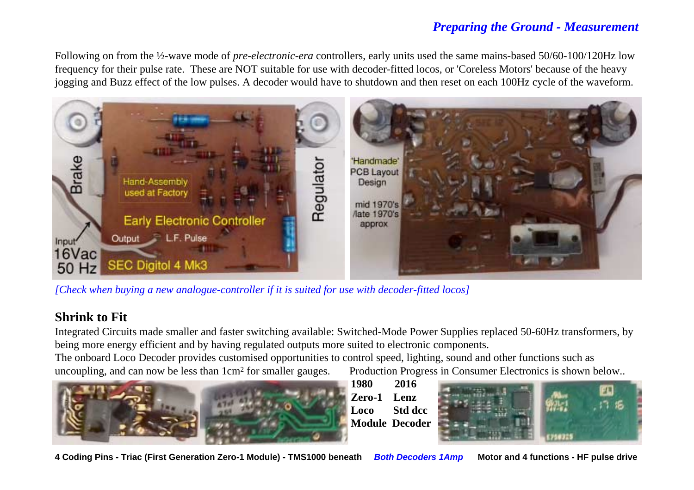Following on from the ½-wave mode of *pre-electronic-era* controllers, early units used the same mains-based 50/60-100/120Hz low frequency for their pulse rate. These are NOT suitable for use with decoder-fitted locos, or 'Coreless Motors' because of the heavy jogging and Buzz effect of the low pulses. A decoder would have to shutdown and then reset on each 100Hz cycle of the waveform.



*[Check when buying a new analogue-controller if it is suited for use with decoder-fitted locos]*

# **Shrink to Fit**

Integrated Circuits made smaller and faster switching available: Switched-Mode Power Supplies replaced 50-60Hz transformers, by being more energy efficient and by having regulated outputs more suited to electronic components.

The onboard Loco Decoder provides customised opportunities to control speed, lighting, sound and other functions such as uncoupling, and can now be less than 1cm<sup>2</sup> for smaller gauges. Production Progress in Consumer Electronics is shown below..



**1980 2016Zero-1 LenzLoco Std dccModule Decoder**



**4 Coding Pins - Triac (First Generation Zero-1 Module) - TMS1000 beneath Both Decoders 1Amp Motor and 4 functions - HF pulse drive**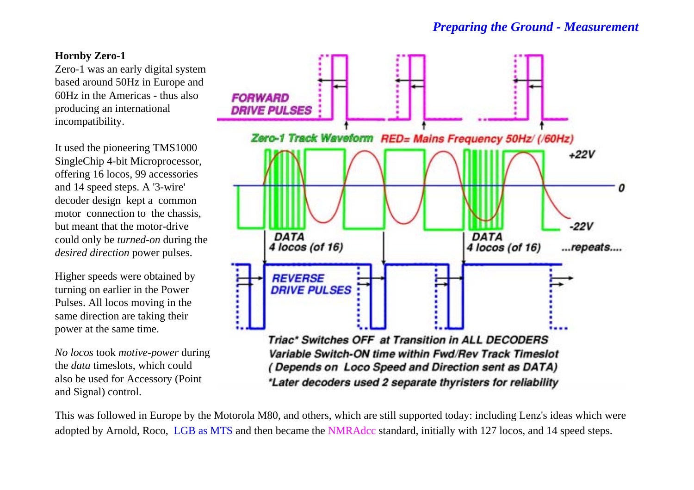### **Hornby Zero-1**

Zero-1 was an early digital system based around 50Hz in Europe and 60Hz in the Americas - thus alsoproducing an international incompatibility.

It used the pioneering TMS1000 SingleChip 4-bit Microprocessor, offering 16 locos, 99 accessories and 14 speed steps. A '3-wire' decoder design kept a common motor connection to the chassis, but meant that the motor-drivecould only be *turned-on* during the *desired direction* power pulses.

Higher speeds were obtained by turning on earlier in the Power Pulses. All locos moving in the same direction are taking their power at the same time.

*No locos* took *motive-power* during the *data* timeslots, which could also be used for Accessory (Point and Signal) control.



This was followed in Europe by the Motorola M80, and others, which are still supported today: including Lenz's ideas which were adopted by Arnold, Roco, LGB as MTS and then became the NMRAdcc standard, initially with 127 locos, and 14 speed steps.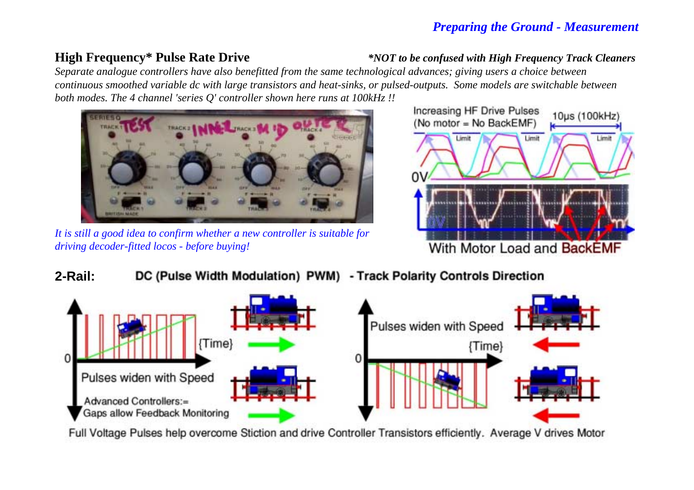**High Frequency\* Pulse Rate Drive** *\*NOT to be confused with High Frequency Track Cleaners*

*Separate analogue controllers have also benefitted from the same technological advances; giving users a choice between continuous smoothed variable dc with large transistors and heat-sinks, or pulsed-outputs. Some models are switchable between both modes. The 4 channel 'series Q' controller shown here runs at 100kHz !!* 



*It is still a good idea to confirm whether a new controller is suitable for driving decoder-fitted locos - before buying!*



#### **2-Rail:**DC (Pulse Width Modulation) PWM) - Track Polarity Controls Direction



Full Voltage Pulses help overcome Stiction and drive Controller Transistors efficiently. Average V drives Motor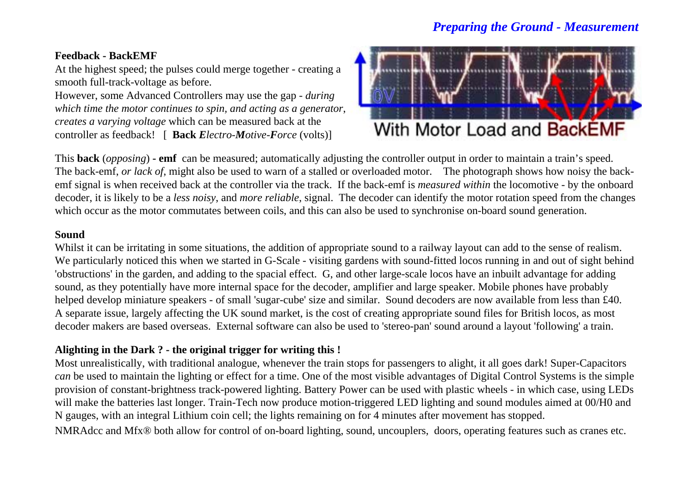#### **Feedback - BackEMF**

At the highest speed; the pulses could merge together - creating a smooth full-track-voltage as before.

However, some Advanced Controllers may use the gap - *during which time the motor continues to spin, and acting as a generator*, *creates a varying voltage* which can be measured back at the controller as feedback! [ **Back** *Electro-Motive-Force* (volts)]



This **back** (*opposing*) **- emf** can be measured; automatically adjusting the controller output in order to maintain a train's speed. The back-emf, *or lack of*, might also be used to warn of a stalled or overloaded motor. The photograph shows how noisy the backemf signal is when received back at the controller via the track. If the back-emf is *measured within* the locomotive - by the onboard decoder, it is likely to be a *less noisy*, and *more reliable*, signal. The decoder can identify the motor rotation speed from the changes which occur as the motor commutates between coils, and this can also be used to synchronise on-board sound generation.

#### **Sound**

Whilst it can be irritating in some situations, the addition of appropriate sound to a railway layout can add to the sense of realism. We particularly noticed this when we started in G-Scale - visiting gardens with sound-fitted locos running in and out of sight behind 'obstructions' in the garden, and adding to the spacial effect. G, and other large-scale locos have an inbuilt advantage for adding sound, as they potentially have more internal space for the decoder, amplifier and large speaker. Mobile phones have probably helped develop miniature speakers - of small 'sugar-cube' size and similar. Sound decoders are now available from less than £40. A separate issue, largely affecting the UK sound market, is the cost of creating appropriate sound files for British locos, as most decoder makers are based overseas. External software can also be used to 'stereo-pan' sound around a layout 'following' a train.

### **Alighting in the Dark ? - the original trigger for writing this !**

Most unrealistically, with traditional analogue, whenever the train stops for passengers to alight, it all goes dark! Super-Capacitors *can* be used to maintain the lighting or effect for a time. One of the most visible advantages of Digital Control Systems is the simple provision of constant-brightness track-powered lighting. Battery Power can be used with plastic wheels - in which case, using LEDs will make the batteries last longer. Train-Tech now produce motion-triggered LED lighting and sound modules aimed at 00/H0 and N gauges, with an integral Lithium coin cell; the lights remaining on for 4 minutes after movement has stopped.

NMRAdcc and Mfx® both allow for control of on-board lighting, sound, uncouplers, doors, operating features such as cranes etc.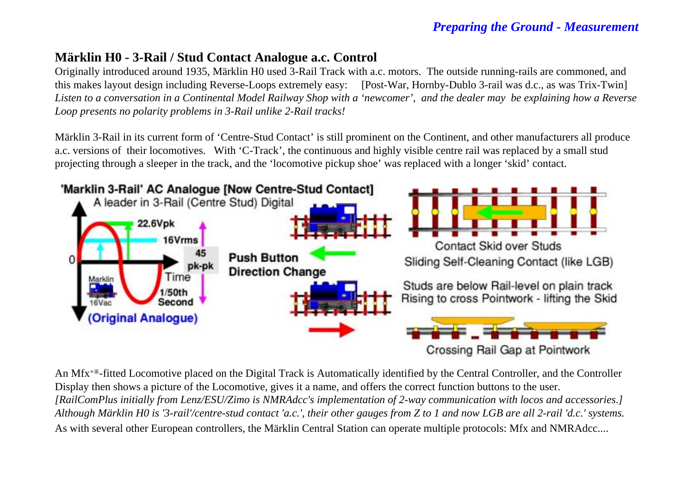## **Märklin H0 - 3-Rail / Stud Contact Analogue a.c. Control**

Originally introduced around 1935, Märklin H0 used 3-Rail Track with a.c. motors. The outside running-rails are commoned, and this makes layout design including Reverse-Loops extremely easy: [Post-War, Hornby-Dublo 3-rail was d.c., as was Trix-Twin] *Listen to a conversation in a Continental Model Railway Shop with a 'newcomer', and the dealer may be explaining how a Revers e Loop presents no polarity problems in 3-Rail unlike 2-Rail tracks!* 

Märklin 3-Rail in its current form of 'Centre-Stud Contact' is still prominent on the Continent, and other manufacturers all produce a.c. versions of their locomotives. With 'C-Track', the continuous and highly visible centre rail was replaced by a small stud projecting through a sleeper in the track, and the 'locomotive pickup shoe' was replaced with a longer 'skid' contact.



An Mfx+®-fitted Locomotive placed on the Digital Track is Automatically identified by the Central Controller, and the Controller Display then shows a picture of the Locomotive, gives it a name, and offers the correct function buttons to the user. *[RailComPlus initially from Lenz/ESU/Zimo is NMRAdcc's implementation of 2-way communication with locos and accessories*.*] Although Märklin H0 is '3-rail'/centre-stud contact 'a.c.', their other gauges from Z to 1 and now LGB are all 2-rail 'd.c.' systems.* As with several other European controllers, the Märklin Central Station can operate multiple protocols: Mfx and NMRAdcc....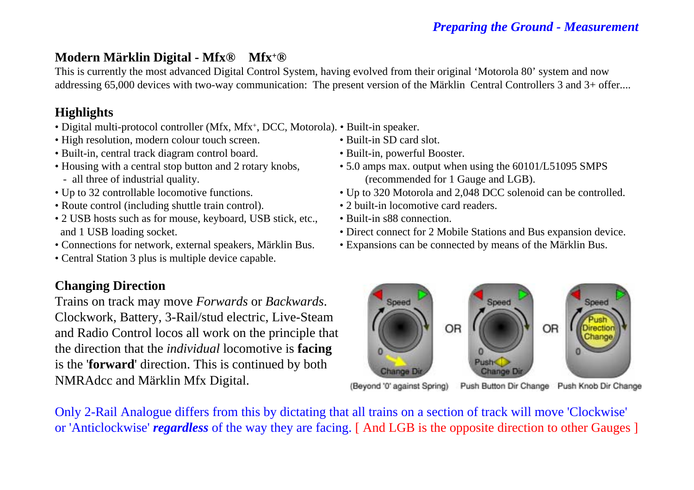# **Modern Märklin Digital - Mfx® Mfx+®**

This is currently the most advanced Digital Control System, having evolved from their original 'Motorola 80' system and now addressing 65,000 devices with two-way communication: The present version of the Märklin Central Controllers 3 and 3+ offer....

### **Highlights**

- Digital multi-protocol controller (Mfx, Mfx+, DCC, Motorola). Built-in speaker.
- High resolution, modern colour touch screen. Built-in SD card slot.
- Built-in, central track diagram control board. Built-in, powerful Booster.
- all three of industrial quality. (recommended for 1 Gauge and LGB).
- 
- Route control (including shuttle train control). 2 built-in locomotive card readers.
- 2 USB hosts such as for mouse, keyboard, USB stick, etc., Built-in s88 connection.
- 
- Central Station 3 plus is multiple device capable.

# **Changing Direction**

Trains on track may move *Forwards* or *Backwards*. Clockwork, Battery, 3-Rail/stud electric, Live-Steam and Radio Control locos all work on the principle that the direction that the *individual* locomotive is **facing** is the '**forward**' direction. This is continued by both NMRAdcc and Märklin Mfx Digital.

- -
- Housing with a central stop button and 2 rotary knobs, 5.0 amps max. output when using the 60101/L51095 SMPS
- Up to 32 controllable locomotive functions. Up to 320 Motorola and 2,048 DCC solenoid can be controlled.
	-
	-
- and 1 USB loading socket. Direct connect for 2 Mobile Stations and Bus expansion device.
- Connections for network, external speakers, Märklin Bus. Expansions can be connected by means of the Märklin Bus.



(Beyond '0' against Spring) Push Button Dir Change Push Knob Dir Change

Only 2-Rail Analogue differs from this by dictating that all trains on a section of track will move 'Clockwise' or 'Anticlockwise' *regardless* of the way they are facing. [ And LGB is the opposite direction to other Gauges ]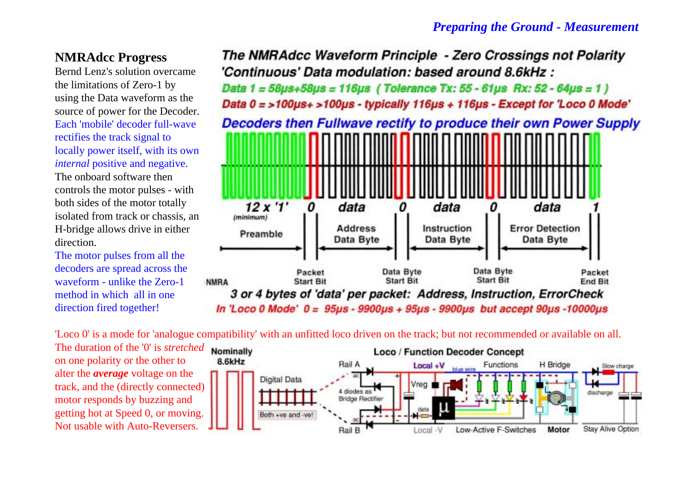### **NMRAdcc Progress**

Bernd Lenz's solution overcamethe limitations of Zero-1 by using the Data waveform as the source of power for the Decoder. Each 'mobile' decoder full-waverectifies the track signal to locally power itself, with its own *internal* positive and negative.

The onboard software thencontrols the motor pulses - with both sides of the motor totally isolated from track or chassis, an H-bridge allows drive in either direction.

The motor pulses from all the decoders are spread across the waveform - unlike the Zero-1method in which all in onedirection fired together!

The NMRAdcc Waveform Principle - Zero Crossings not Polarity 'Continuous' Data modulation: based around 8.6kHz : Data  $1 = 58\mu s + 58\mu s = 116\mu s$  (Tolerance Tx: 55 - 61 $\mu s$  Rx: 52 - 64 $\mu s = 1$ ) Data 0 = >100us+ >100us - typically 116us + 116us - Except for 'Loco 0 Mode' Decoders then Fullwave rectify to produce their own Power Supply  $12x'1'$ data data data  $(mlnimum)$ **Error Detection Address** Instruction Preamble Data Byte Data Byte Data Byte Data Byte Data Byte Packet Packet **Start Bit Start Bit Start Bit End Bit NMRA** 3 or 4 bytes of 'data' per packet: Address, Instruction, ErrorCheck In 'Loco 0 Mode'  $0 = 95\mu s - 9900\mu s + 95\mu s - 9900\mu s$  but accept 90 $\mu s$ -10000 $\mu s$ 

'Loco 0' is a mode for 'analogue compatibility' with an unfitted loco driven on the track; but not recommended or available on all.

The duration of the '0' is *stretched*on one polarity or the other to alter the *average* voltage on the track, and the (directly connected) motor responds by buzzing and getting hot at Speed 0, or moving. Not usable with Auto-Reversers.

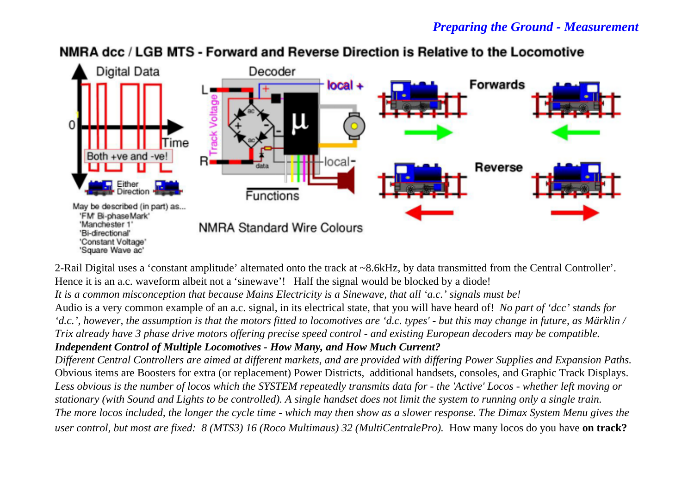

# NMRA dcc / LGB MTS - Forward and Reverse Direction is Relative to the Locomotive

2-Rail Digital uses a 'constant amplitude' alternated onto the track at ~8.6kHz, by data transmitted from the Central Controller'. Hence it is an a.c. waveform albeit not a 'sinewave'! Half the signal would be blocked by a diode! *It is a common misconception that because Mains Electricity is a Sinewave, that all 'a.c.' signals must be!* Audio is a very common example of an a.c. signal, in its electrical state, that you will have heard of! *No part of 'dcc' stands for 'd.c.', however, the assumption is that the motors fitted to locomotives are 'd.c. types' - but this may change in future, as Märklin / Trix already have 3 phase drive motors offering precise speed control - and existing European decoders may be compatible. Independent Control of Multiple Locomotives - How Many, and How Much Current? Different Central Controllers are aimed at different markets, and are provided with differing Power Supplies and Expansion Paths.*  Obvious items are Boosters for extra (or replacement) Power Districts, additional handsets, consoles, and Graphic Track Displays.

*Less obvious is the number of locos which the SYSTEM repeatedly transmits data for - the 'Active' Locos - whether left moving o r stationary (with Sound and Lights to be controlled). A single handset does not limit the system to running only a single train. The more locos included, the longer the cycle time - which may then show as a slower response. The Dimax System Menu gives the user control, but most are fixed: 8 (MTS3) 16 (Roco Multimaus) 32 (MultiCentralePro).* How many locos do you have **on track?**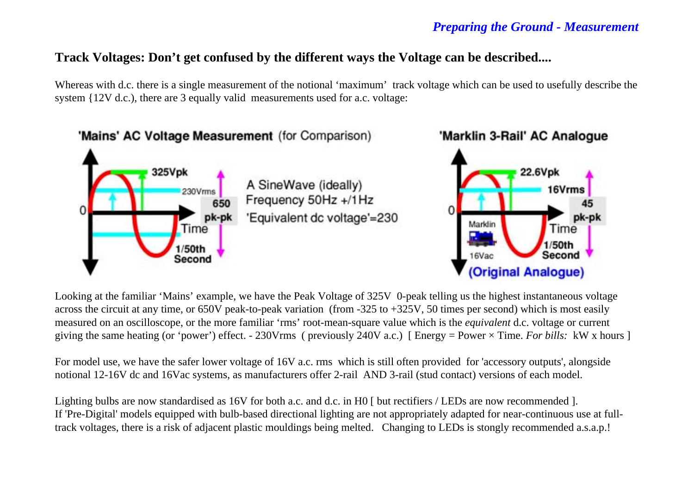### **Track Voltages: Don't get confused by the different ways the Voltage can be described....**

Whereas with d.c. there is a single measurement of the notional 'maximum' track voltage which can be used to usefully describe the system {12V d.c.), there are 3 equally valid measurements used for a.c. voltage:



Looking at the familiar 'Mains' example, we have the Peak Voltage of 325V 0-peak telling us the highest instantaneous voltage across the circuit at any time, or 650V peak-to-peak variation (from -325 to +325V, 50 times per second) which is most easily measured on an oscilloscope, or the more familiar 'rms' root-mean-square value which is the *equivalent* d.c. voltage or current giving the same heating (or 'power') effect. - 230Vrms ( previously 240V a.c.) [ Energy = Power × Time. *For bills:* kW x hours ]

For model use, we have the safer lower voltage of 16V a.c. rms which is still often provided for 'accessory outputs', alongside notional 12-16V dc and 16Vac systems, as manufacturers offer 2-rail AND 3-rail (stud contact) versions of each model.

Lighting bulbs are now standardised as 16V for both a.c. and d.c. in H0  $\lceil$  but rectifiers / LEDs are now recommended  $\lceil$ . If 'Pre-Digital' models equipped with bulb-based directional lighting are not appropriately adapted for near-continuous use at fulltrack voltages, there is a risk of adjacent plastic mouldings being melted. Changing to LEDs is stongly recommended a.s.a.p.!